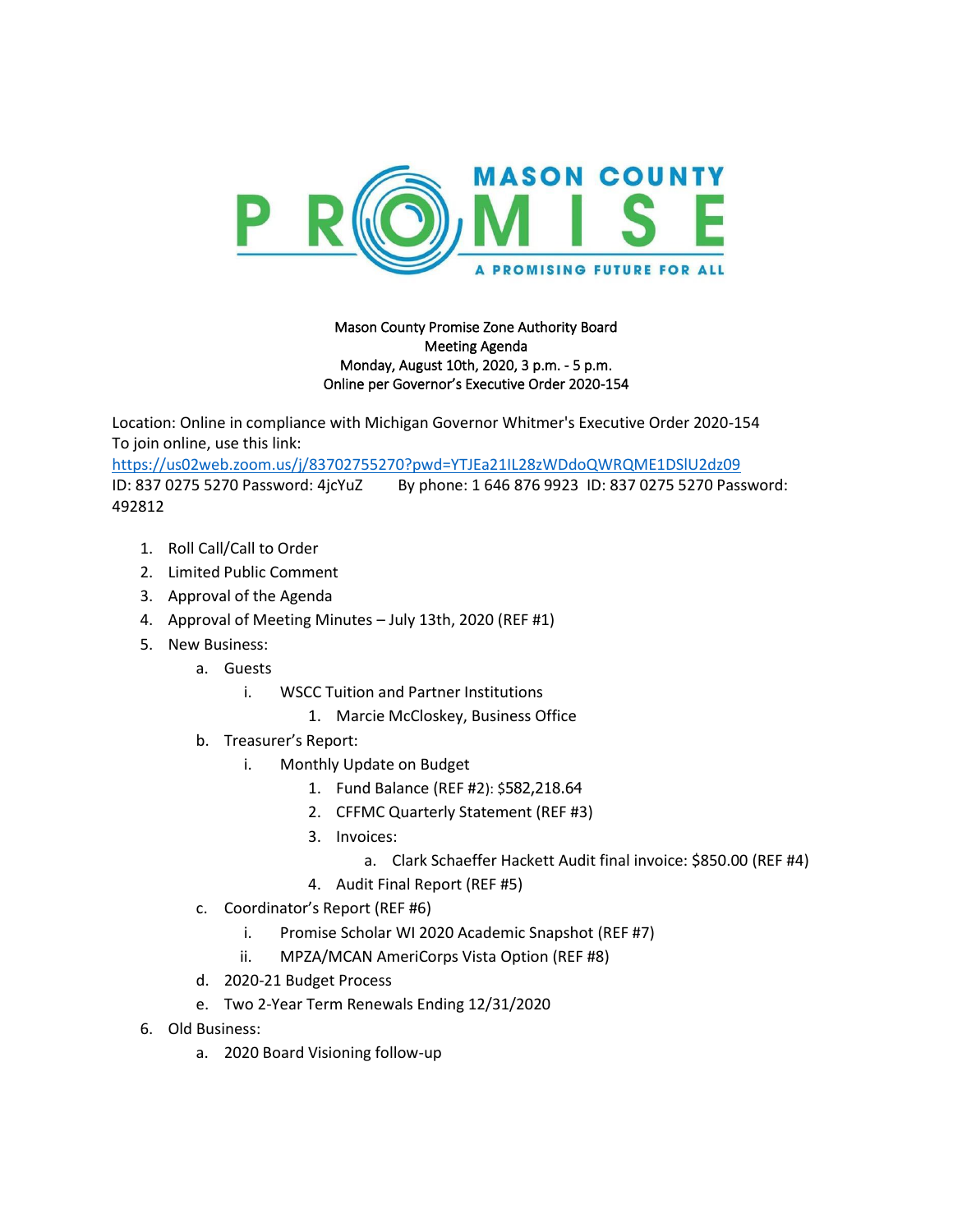

## Mason County Promise Zone Authority Board Meeting Agenda Monday, August 10th, 2020, 3 p.m. - 5 p.m. Online per Governor's Executive Order 2020-154

Location: Online in compliance with Michigan Governor Whitmer's Executive Order 2020-154 To join online, use this link:

<https://us02web.zoom.us/j/83702755270?pwd=YTJEa21IL28zWDdoQWRQME1DSlU2dz09> ID: 837 0275 5270 Password: 4jcYuZ By phone: 1 646 876 9923 ID: 837 0275 5270 Password: 492812

- 1. Roll Call/Call to Order
- 2. Limited Public Comment
- 3. Approval of the Agenda
- 4. Approval of Meeting Minutes July 13th, 2020 (REF #1)
- 5. New Business:
	- a. Guests
		- i. WSCC Tuition and Partner Institutions
			- 1. Marcie McCloskey, Business Office
	- b. Treasurer's Report:
		- i. Monthly Update on Budget
			- 1. Fund Balance (REF #2): \$582,218.64
			- 2. CFFMC Quarterly Statement (REF #3)
			- 3. Invoices:
				- a. Clark Schaeffer Hackett Audit final invoice: \$850.00 (REF #4)
			- 4. Audit Final Report (REF #5)
	- c. Coordinator's Report (REF #6)
		- i. Promise Scholar WI 2020 Academic Snapshot (REF #7)
		- ii. MPZA/MCAN AmeriCorps Vista Option (REF #8)
	- d. 2020-21 Budget Process
	- e. Two 2-Year Term Renewals Ending 12/31/2020
- 6. Old Business:
	- a. 2020 Board Visioning follow-up